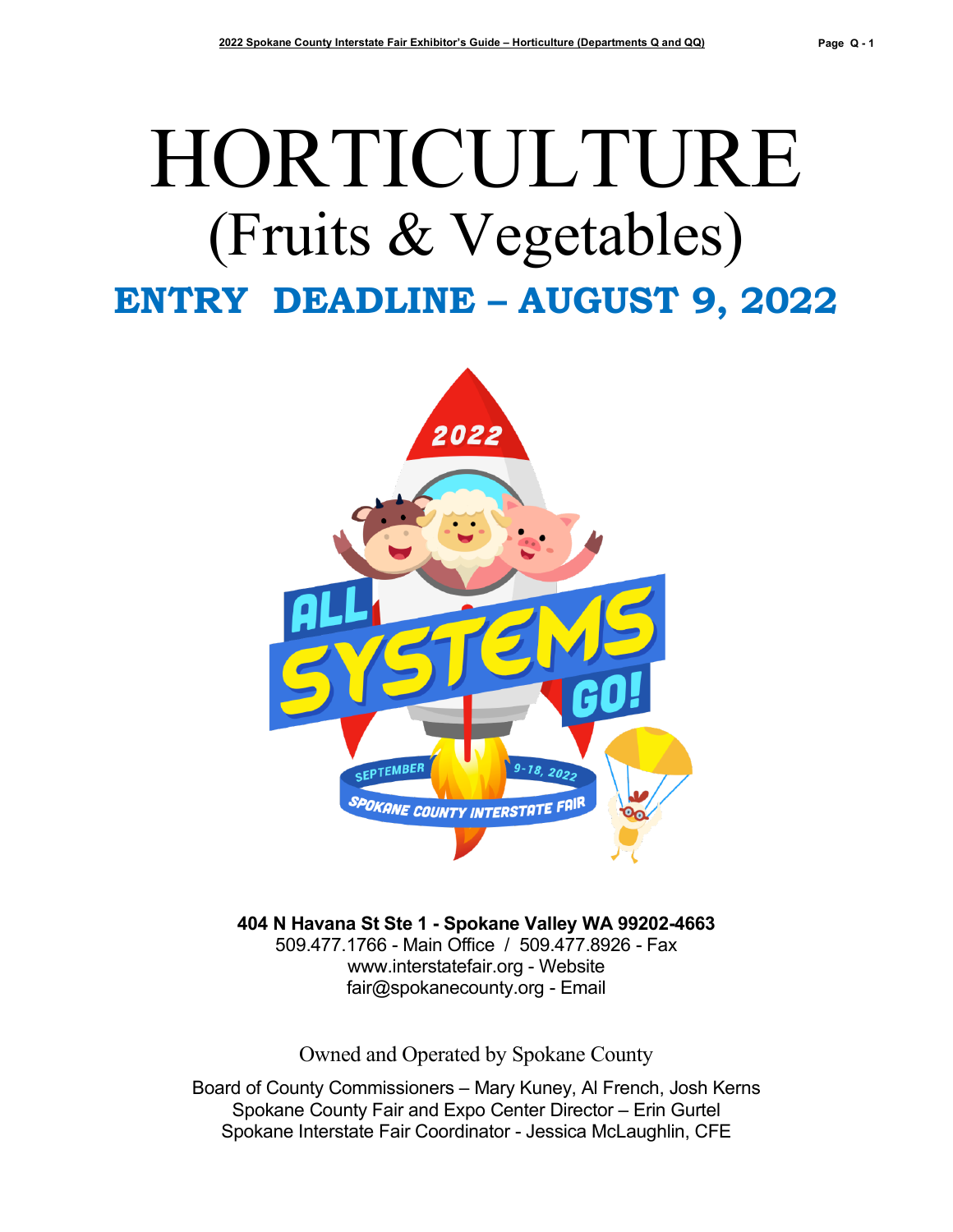# HORTICULTURE (Fruits & Vegetables) **ENTRY DEADLINE – AUGUST 9, 2022**



**404 N Havana St Ste 1 - Spokane Valley WA 99202-4663** 509.477.1766 - Main Office / 509.477.8926 - Fax

[www.interstatefair.org](http://www.interstatefair.org/) - Website [fair@spokanecounty.org](mailto:fair@spokanecounty.org) - Email

Owned and Operated by Spokane County

Board of County Commissioners – Mary Kuney, Al French, Josh Kerns Spokane County Fair and Expo Center Director – Erin Gurtel Spokane Interstate Fair Coordinator - Jessica McLaughlin, CFE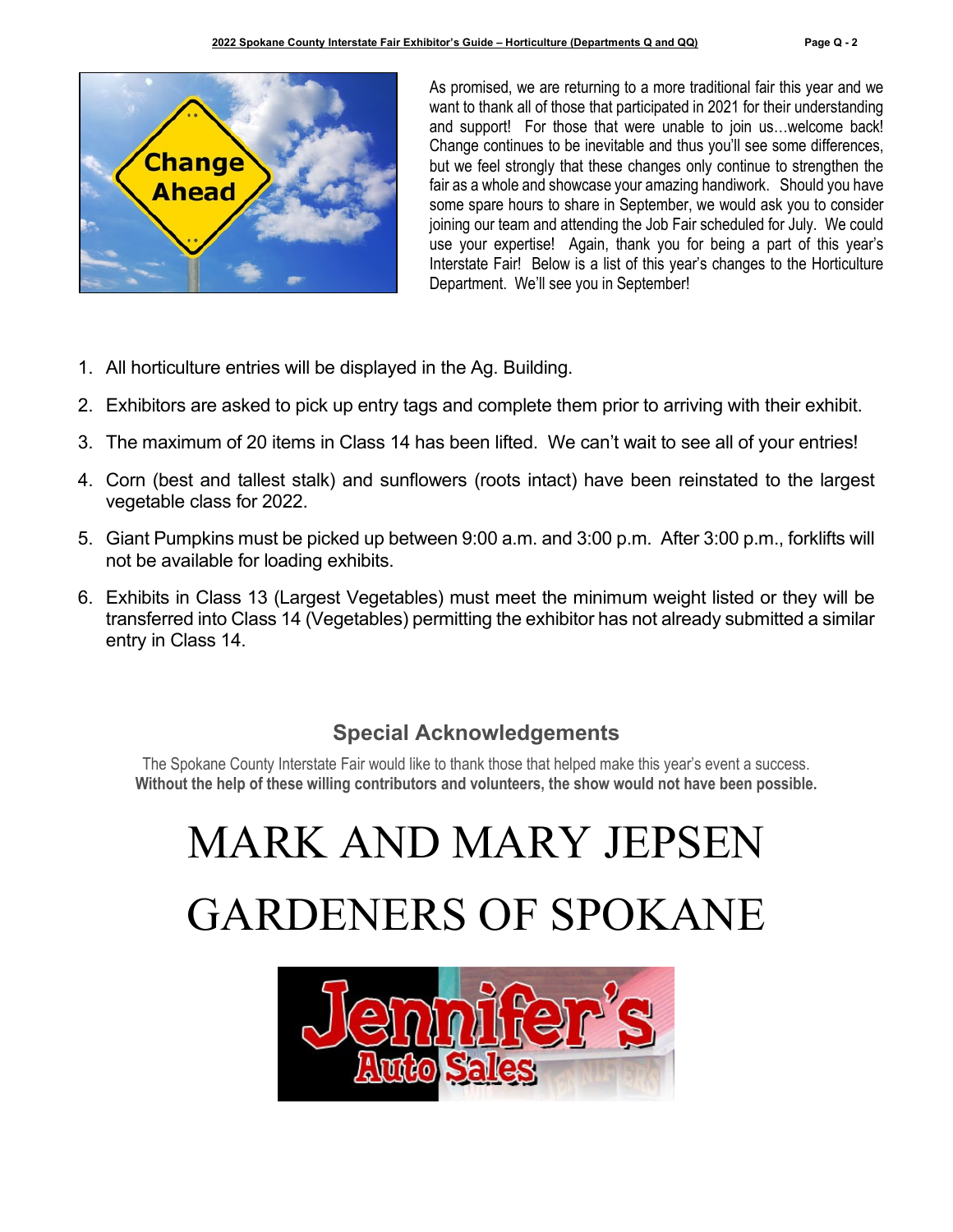

As promised, we are returning to a more traditional fair this year and we want to thank all of those that participated in 2021 for their understanding and support! For those that were unable to join us…welcome back! Change continues to be inevitable and thus you'll see some differences, but we feel strongly that these changes only continue to strengthen the fair as a whole and showcase your amazing handiwork. Should you have some spare hours to share in September, we would ask you to consider joining our team and attending the Job Fair scheduled for July. We could use your expertise! Again, thank you for being a part of this year's Interstate Fair! Below is a list of this year's changes to the Horticulture Department. We'll see you in September!

- 1. All horticulture entries will be displayed in the Ag. Building.
- 2. Exhibitors are asked to pick up entry tags and complete them prior to arriving with their exhibit.
- 3. The maximum of 20 items in Class 14 has been lifted. We can't wait to see all of your entries!
- 4. Corn (best and tallest stalk) and sunflowers (roots intact) have been reinstated to the largest vegetable class for 2022.
- 5. Giant Pumpkins must be picked up between 9:00 a.m. and 3:00 p.m. After 3:00 p.m., forklifts will not be available for loading exhibits.
- 6. Exhibits in Class 13 (Largest Vegetables) must meet the minimum weight listed or they will be transferred into Class 14 (Vegetables) permitting the exhibitor has not already submitted a similar entry in Class 14.

## **Special Acknowledgements**

The Spokane County Interstate Fair would like to thank those that helped make this year's event a success. **Without the help of these willing contributors and volunteers, the show would not have been possible.**

# MARK AND MARY JEPSEN GARDENERS OF SPOKANE

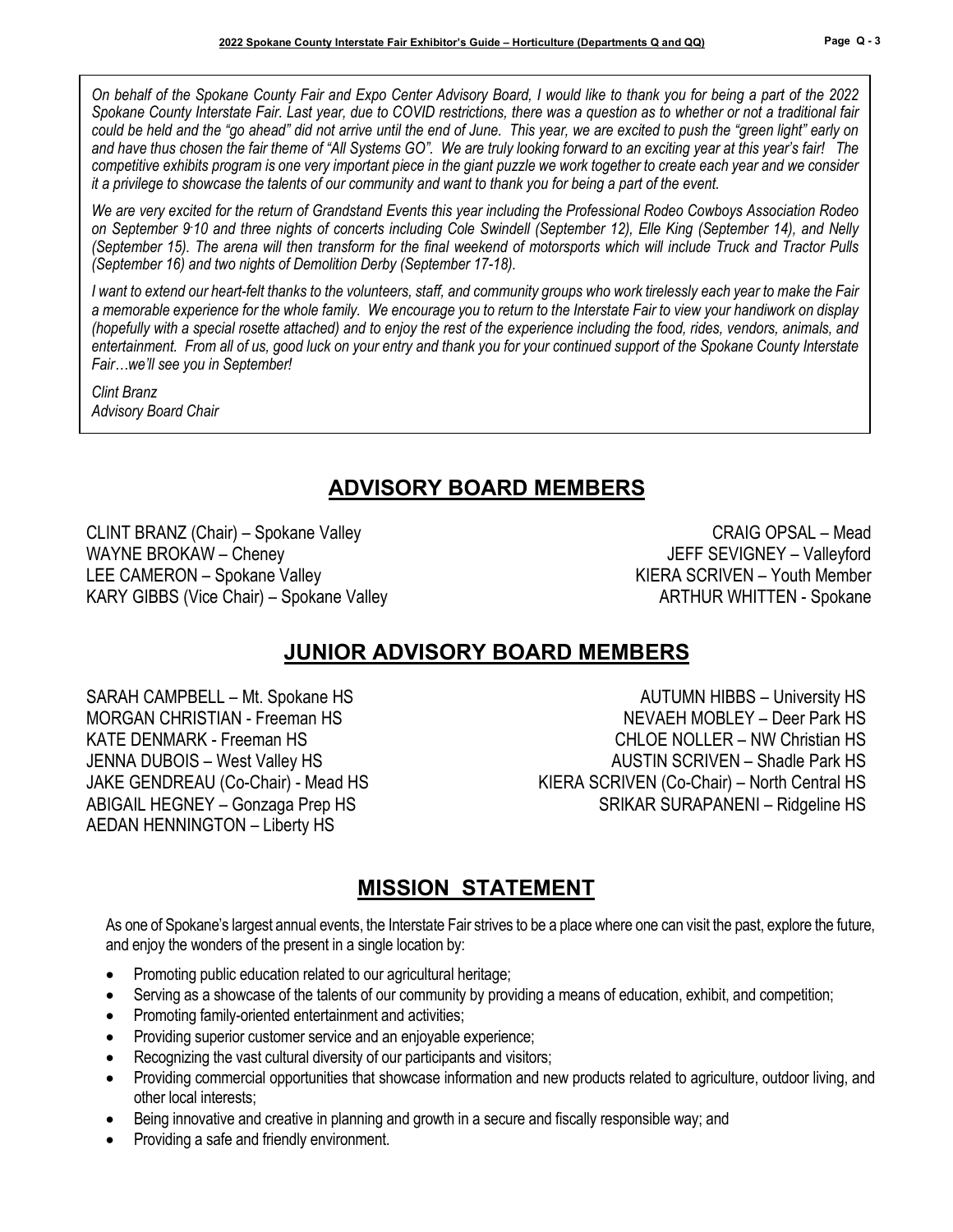*On behalf of the Spokane County Fair and Expo Center Advisory Board, I would like to thank you for being a part of the 2022 Spokane County Interstate Fair. Last year, due to COVID restrictions, there was a question as to whether or not a traditional fair could be held and the "go ahead" did not arrive until the end of June. This year, we are excited to push the "green light" early on and have thus chosen the fair theme of "All Systems GO". We are truly looking forward to an exciting year at this year's fair! The competitive exhibits program is one very important piece in the giant puzzle we work together to create each year and we consider it a privilege to showcase the talents of our community and want to thank you for being a part of the event.* 

*We are very excited for the return of Grandstand Events this year including the Professional Rodeo Cowboys Association Rodeo on September 9- 10 and three nights of concerts including Cole Swindell (September 12), Elle King (September 14), and Nelly (September 15). The arena will then transform for the final weekend of motorsports which will include Truck and Tractor Pulls (September 16) and two nights of Demolition Derby (September 17-18).*

*I want to extend our heart-felt thanks to the volunteers, staff, and community groups who work tirelessly each year to make the Fair a memorable experience for the whole family. We encourage you to return to the Interstate Fair to view your handiwork on display (hopefully with a special rosette attached) and to enjoy the rest of the experience including the food, rides, vendors, animals, and entertainment. From all of us, good luck on your entry and thank you for your continued support of the Spokane County Interstate Fair…we'll see you in September!*

*Clint Branz Advisory Board Chair*

# **ADVISORY BOARD MEMBERS**

CLINT BRANZ (Chair) – Spokane Valley CRAIG OPSAL – Mead WAYNE BROKAW – Cheney **Valleyford** Cheney And Cheney And Cheney And Cheney JEFF SEVIGNEY – Valleyford LEE CAMERON – Spokane Valley **KIERA SCRIVEN** – Youth Member KARY GIBBS (Vice Chair) – Spokane Valley ARTHUR WHITTEN - Spokane

# **JUNIOR ADVISORY BOARD MEMBERS**

AEDAN HENNINGTON – Liberty HS

SARAH CAMPBELL – Mt. Spokane HS AUTUMN HIBBS – University HS MORGAN CHRISTIAN - Freeman HS NEW ASSESSMENT AND NEVAEH MOBLEY – Deer Park HS KATE DENMARK - Freeman HS CHLOE NOLLER – NW Christian HS JENNA DUBOIS – West Valley HS AUSTIN SCRIVEN – Shadle Park HS JAKE GENDREAU (Co-Chair) - Mead HS KIERA SCRIVEN (Co-Chair) – North Central HS ABIGAIL HEGNEY – Gonzaga Prep HS SRIKAR SURAPANENI – Ridgeline HS

## **MISSION STATEMENT**

As one of Spokane's largest annual events, the Interstate Fair strives to be a place where one can visit the past, explore the future, and enjoy the wonders of the present in a single location by:

- Promoting public education related to our agricultural heritage;
- Serving as a showcase of the talents of our community by providing a means of education, exhibit, and competition;
- Promoting family-oriented entertainment and activities;
- Providing superior customer service and an enjoyable experience;
- Recognizing the vast cultural diversity of our participants and visitors;
- Providing commercial opportunities that showcase information and new products related to agriculture, outdoor living, and other local interests;
- Being innovative and creative in planning and growth in a secure and fiscally responsible way; and
- Providing a safe and friendly environment.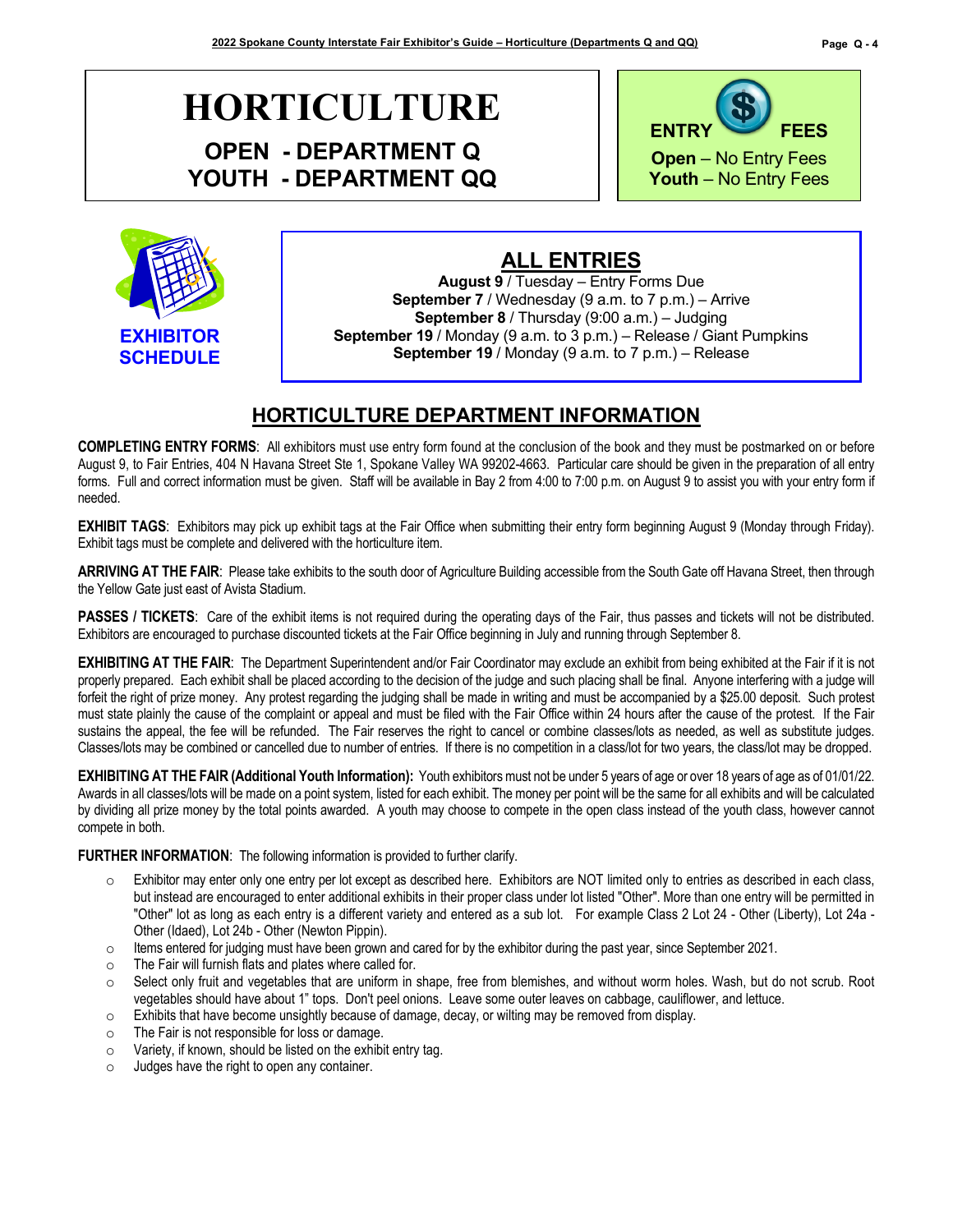# **HORTICULTURE OPEN - DEPARTMENT Q**

**YOUTH - DEPARTMENT QQ**





## **ALL ENTRIES**

**August 9** / Tuesday – Entry Forms Due **September 7** / Wednesday (9 a.m. to 7 p.m.) – Arrive **September 8** / Thursday (9:00 a.m.) – Judging **September 19** / Monday (9 a.m. to 3 p.m.) – Release / Giant Pumpkins **September 19** / Monday (9 a.m. to 7 p.m.) – Release

### **HORTICULTURE DEPARTMENT INFORMATION**

**COMPLETING ENTRY FORMS**: All exhibitors must use entry form found at the conclusion of the book and they must be postmarked on or before August 9, to Fair Entries, 404 N Havana Street Ste 1, Spokane Valley WA 99202-4663. Particular care should be given in the preparation of all entry forms. Full and correct information must be given. Staff will be available in Bay 2 from 4:00 to 7:00 p.m. on August 9 to assist you with your entry form if needed.

**EXHIBIT TAGS**: Exhibitors may pick up exhibit tags at the Fair Office when submitting their entry form beginning August 9 (Monday through Friday). Exhibit tags must be complete and delivered with the horticulture item.

**ARRIVING AT THE FAIR**: Please take exhibits to the south door of Agriculture Building accessible from the South Gate off Havana Street, then through the Yellow Gate just east of Avista Stadium.

**PASSES / TICKETS**: Care of the exhibit items is not required during the operating days of the Fair, thus passes and tickets will not be distributed. Exhibitors are encouraged to purchase discounted tickets at the Fair Office beginning in July and running through September 8.

**EXHIBITING AT THE FAIR**: The Department Superintendent and/or Fair Coordinator may exclude an exhibit from being exhibited at the Fair if it is not properly prepared. Each exhibit shall be placed according to the decision of the judge and such placing shall be final. Anyone interfering with a judge will forfeit the right of prize money. Any protest regarding the judging shall be made in writing and must be accompanied by a \$25.00 deposit. Such protest must state plainly the cause of the complaint or appeal and must be filed with the Fair Office within 24 hours after the cause of the protest. If the Fair sustains the appeal, the fee will be refunded. The Fair reserves the right to cancel or combine classes/lots as needed, as well as substitute judges. Classes/lots may be combined or cancelled due to number of entries. If there is no competition in a class/lot for two years, the class/lot may be dropped.

**EXHIBITING AT THE FAIR (Additional Youth Information):** Youth exhibitors must not be under 5 years of age or over 18 years of age as of 01/01/22. Awards in all classes/lots will be made on a point system, listed for each exhibit. The money per point will be the same for all exhibits and will be calculated by dividing all prize money by the total points awarded. A youth may choose to compete in the open class instead of the youth class, however cannot compete in both.

**FURTHER INFORMATION**: The following information is provided to further clarify.

- o Exhibitor may enter only one entry per lot except as described here. Exhibitors are NOT limited only to entries as described in each class, but instead are encouraged to enter additional exhibits in their proper class under lot listed "Other". More than one entry will be permitted in "Other" lot as long as each entry is a different variety and entered as a sub lot. For example Class 2 Lot 24 - Other (Liberty), Lot 24a - Other (Idaed), Lot 24b - Other (Newton Pippin).
- $\circ$  Items entered for judging must have been grown and cared for by the exhibitor during the past year, since September 2021.
- o The Fair will furnish flats and plates where called for.
- $\circ$  Select only fruit and vegetables that are uniform in shape, free from blemishes, and without worm holes. Wash, but do not scrub. Root vegetables should have about 1" tops. Don't peel onions. Leave some outer leaves on cabbage, cauliflower, and lettuce.
- $\circ$  Exhibits that have become unsightly because of damage, decay, or wilting may be removed from display.<br>
The Fair is not responsible for loss or damage.
- The Fair is not responsible for loss or damage.
- $\circ$  Variety, if known, should be listed on the exhibit entry tag.<br> $\circ$  Judges have the right to open any container.
- Judges have the right to open any container.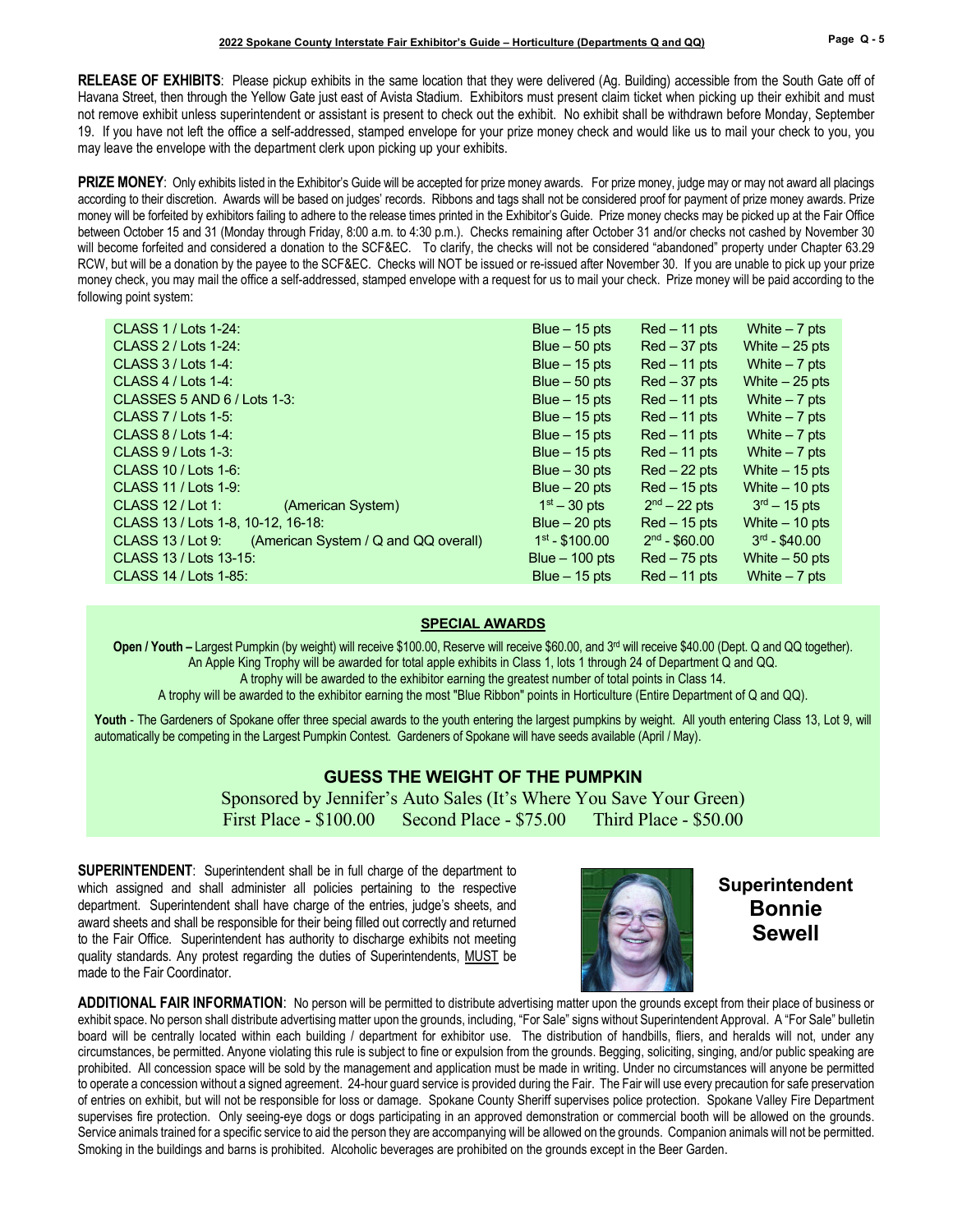**RELEASE OF EXHIBITS**: Please pickup exhibits in the same location that they were delivered (Ag. Building) accessible from the South Gate off of Havana Street, then through the Yellow Gate just east of Avista Stadium. Exhibitors must present claim ticket when picking up their exhibit and must not remove exhibit unless superintendent or assistant is present to check out the exhibit. No exhibit shall be withdrawn before Monday, September 19. If you have not left the office a self-addressed, stamped envelope for your prize money check and would like us to mail your check to you, you may leave the envelope with the department clerk upon picking up your exhibits.

PRIZE MONEY: Only exhibits listed in the Exhibitor's Guide will be accepted for prize money awards. For prize money, judge may or may not award all placings according to their discretion. Awards will be based on judges' records. Ribbons and tags shall not be considered proof for payment of prize money awards. Prize money will be forfeited by exhibitors failing to adhere to the release times printed in the Exhibitor's Guide. Prize money checks may be picked up at the Fair Office between October 15 and 31 (Monday through Friday, 8:00 a.m. to 4:30 p.m.). Checks remaining after October 31 and/or checks not cashed by November 30 will become forfeited and considered a donation to the SCF&EC. To clarify, the checks will not be considered "abandoned" property under Chapter 63.29 RCW, but will be a donation by the payee to the SCF&EC. Checks will NOT be issued or re-issued after November 30. If you are unable to pick up your prize money check, you may mail the office a self-addressed, stamped envelope with a request for us to mail your check. Prize money will be paid according to the following point system:

| CLASS 1 / Lots 1-24:                                      | Blue $-15$ pts   | $Red - 11$ pts | White $-7$ pts  |
|-----------------------------------------------------------|------------------|----------------|-----------------|
| CLASS 2 / Lots 1-24:                                      | Blue $-50$ pts   | $Red-37$ pts   | White $-25$ pts |
| CLASS $3$ / Lots 1-4:                                     | Blue $-15$ pts   | $Red - 11$ pts | White $-7$ pts  |
| CLASS $4$ / Lots 1-4:                                     | Blue $-50$ pts   | $Red-37$ pts   | White $-25$ pts |
| CLASSES 5 AND 6 / Lots 1-3:                               | Blue $-15$ pts   | $Red - 11$ pts | White $-7$ pts  |
| CLASS $7$ / Lots 1-5:                                     | Blue $-15$ pts   | $Red - 11$ pts | White $-7$ pts  |
| CLASS $8/$ Lots 1-4:                                      | Blue $-15$ pts   | $Red - 11$ pts | White $-7$ pts  |
| CLASS $9/$ Lots 1-3:                                      | Blue $-15$ pts   | $Red - 11$ pts | White $-7$ pts  |
| CLASS 10 / Lots 1-6:                                      | Blue $-30$ pts   | $Red - 22$ pts | White $-15$ pts |
| CLASS 11 / Lots 1-9:                                      | Blue $-20$ pts   | $Red - 15$ pts | White $-10$ pts |
| CLASS $12$ / Lot 1:<br>(American System)                  | $1st - 30$ pts   | $2nd - 22$ pts | $3rd - 15$ pts  |
| CLASS 13 / Lots 1-8, 10-12, 16-18:                        | Blue $-20$ pts   | $Red - 15$ pts | White $-10$ pts |
| (American System / Q and QQ overall)<br>CLASS 13 / Lot 9: | $1st - $100.00$  | $2nd - $60.00$ | $3rd - $40.00$  |
| CLASS 13 / Lots 13-15:                                    | Blue $-$ 100 pts | $Red - 75$ pts | White $-50$ pts |
| CLASS 14 / Lots 1-85:                                     | Blue $-15$ pts   | $Red - 11$ pts | White $-7$ pts  |
|                                                           |                  |                |                 |

#### **SPECIAL AWARDS**

Open / Youth – Largest Pumpkin (by weight) will receive \$100.00, Reserve will receive \$60.00, and 3<sup>rd</sup> will receive \$40.00 (Dept. Q and QQ together). An Apple King Trophy will be awarded for total apple exhibits in Class 1, lots 1 through 24 of Department Q and QQ.

A trophy will be awarded to the exhibitor earning the greatest number of total points in Class 14.

A trophy will be awarded to the exhibitor earning the most "Blue Ribbon" points in Horticulture (Entire Department of Q and QQ).

Youth - The Gardeners of Spokane offer three special awards to the youth entering the largest pumpkins by weight. All youth entering Class 13, Lot 9, will automatically be competing in the Largest Pumpkin Contest. Gardeners of Spokane will have seeds available (April / May).

#### **GUESS THE WEIGHT OF THE PUMPKIN** Sponsored by Jennifer's Auto Sales (It's Where You Save Your Green) First Place - \$100.00 Second Place - \$75.00 Third Place - \$50.00

**SUPERINTENDENT**: Superintendent shall be in full charge of the department to which assigned and shall administer all policies pertaining to the respective department. Superintendent shall have charge of the entries, judge's sheets, and award sheets and shall be responsible for their being filled out correctly and returned to the Fair Office. Superintendent has authority to discharge exhibits not meeting quality standards. Any protest regarding the duties of Superintendents, MUST be made to the Fair Coordinator.



**Superintendent Bonnie Sewell**

**ADDITIONAL FAIR INFORMATION**: No person will be permitted to distribute advertising matter upon the grounds except from their place of business or exhibit space. No person shall distribute advertising matter upon the grounds, including, "For Sale" signs without Superintendent Approval. A "For Sale" bulletin board will be centrally located within each building / department for exhibitor use. The distribution of handbills, fliers, and heralds will not, under any circumstances, be permitted. Anyone violating this rule is subject to fine or expulsion from the grounds. Begging, soliciting, singing, and/or public speaking are prohibited. All concession space will be sold by the management and application must be made in writing. Under no circumstances will anyone be permitted to operate a concession without a signed agreement. 24-hour guard service is provided during the Fair. The Fair will use every precaution for safe preservation of entries on exhibit, but will not be responsible for loss or damage. Spokane County Sheriff supervises police protection. Spokane Valley Fire Department supervises fire protection. Only seeing-eye dogs or dogs participating in an approved demonstration or commercial booth will be allowed on the grounds. Service animals trained for a specific service to aid the person they are accompanying will be allowed on the grounds. Companion animals will not be permitted. Smoking in the buildings and barns is prohibited. Alcoholic beverages are prohibited on the grounds except in the Beer Garden.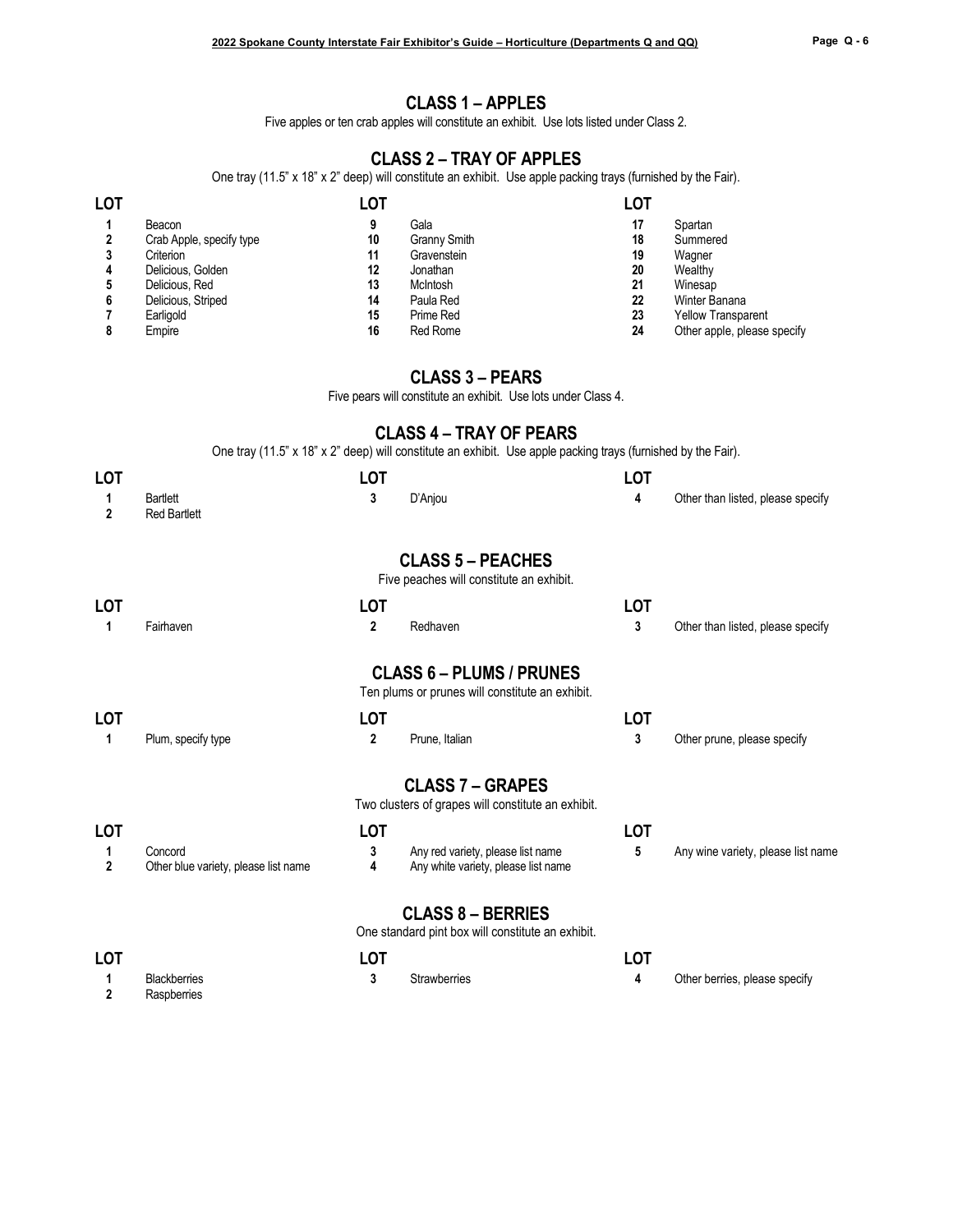#### **CLASS 1 – APPLES**

Five apples or ten crab apples will constitute an exhibit. Use lots listed under Class 2.

#### **CLASS 2 – TRAY OF APPLES**

One tray (11.5" x 18" x 2" deep) will constitute an exhibit. Use apple packing trays (furnished by the Fair).

| <b>LOT</b> |                          | LOT |                     | LOT |                             |
|------------|--------------------------|-----|---------------------|-----|-----------------------------|
|            | Beacon                   |     | Gala                | 17  | Spartan                     |
|            | Crab Apple, specify type | 10  | <b>Granny Smith</b> | 18  | Summered                    |
| 3          | Criterion                | 11  | Gravenstein         | 19  | Wagner                      |
|            | Delicious, Golden        | 12  | Jonathan            | 20  | Wealthy                     |
|            | Delicious, Red           | 13  | McIntosh            | 21  | Winesap                     |
| 6          | Delicious, Striped       | 14  | Paula Red           | 22  | Winter Banana               |
|            | Earligold                | 15  | Prime Red           | 23  | <b>Yellow Transparent</b>   |
|            | Empire                   | 16  | Red Rome            | 24  | Other apple, please specify |

#### **CLASS 3 – PEARS**

Five pears will constitute an exhibit. Use lots under Class 4.

#### **CLASS 4 – TRAY OF PEARS**

One tray (11.5" x 18" x 2" deep) will constitute an exhibit. Use apple packing trays (furnished by the Fair).

| <b>LOT</b>          |                                                 | LOT                     |                                                                                    | <b>LOT</b> |                                    |
|---------------------|-------------------------------------------------|-------------------------|------------------------------------------------------------------------------------|------------|------------------------------------|
| 1<br>$\overline{2}$ | <b>Bartlett</b><br><b>Red Bartlett</b>          | 3                       | D'Anjou                                                                            | 4          | Other than listed, please specify  |
|                     |                                                 |                         | <b>CLASS 5 - PEACHES</b><br>Five peaches will constitute an exhibit.               |            |                                    |
| <b>LOT</b>          |                                                 | <b>LOT</b>              |                                                                                    | <b>LOT</b> |                                    |
| 1                   | Fairhaven                                       | $\overline{\mathbf{c}}$ | Redhaven                                                                           | 3          | Other than listed, please specify  |
|                     |                                                 |                         | <b>CLASS 6 - PLUMS / PRUNES</b><br>Ten plums or prunes will constitute an exhibit. |            |                                    |
| <b>LOT</b>          |                                                 | <b>LOT</b>              |                                                                                    | <b>LOT</b> |                                    |
| 1                   | Plum, specify type                              | 2                       | Prune, Italian                                                                     | 3          | Other prune, please specify        |
|                     |                                                 |                         | <b>CLASS 7 - GRAPES</b><br>Two clusters of grapes will constitute an exhibit.      |            |                                    |
| <b>LOT</b>          |                                                 | <b>LOT</b>              |                                                                                    | <b>LOT</b> |                                    |
| 1<br>$\overline{2}$ | Concord<br>Other blue variety, please list name | 3<br>4                  | Any red variety, please list name<br>Any white variety, please list name           | 5          | Any wine variety, please list name |
|                     |                                                 |                         | <b>CLASS 8 - BERRIES</b><br>One standard pint box will constitute an exhibit.      |            |                                    |
| <b>LOT</b>          |                                                 | <b>LOT</b>              |                                                                                    | <b>LOT</b> |                                    |
| 1<br>$\overline{2}$ | <b>Blackberries</b><br>Raspberries              | 3                       | <b>Strawberries</b>                                                                | 4          | Other berries, please specify      |

**2** Raspberries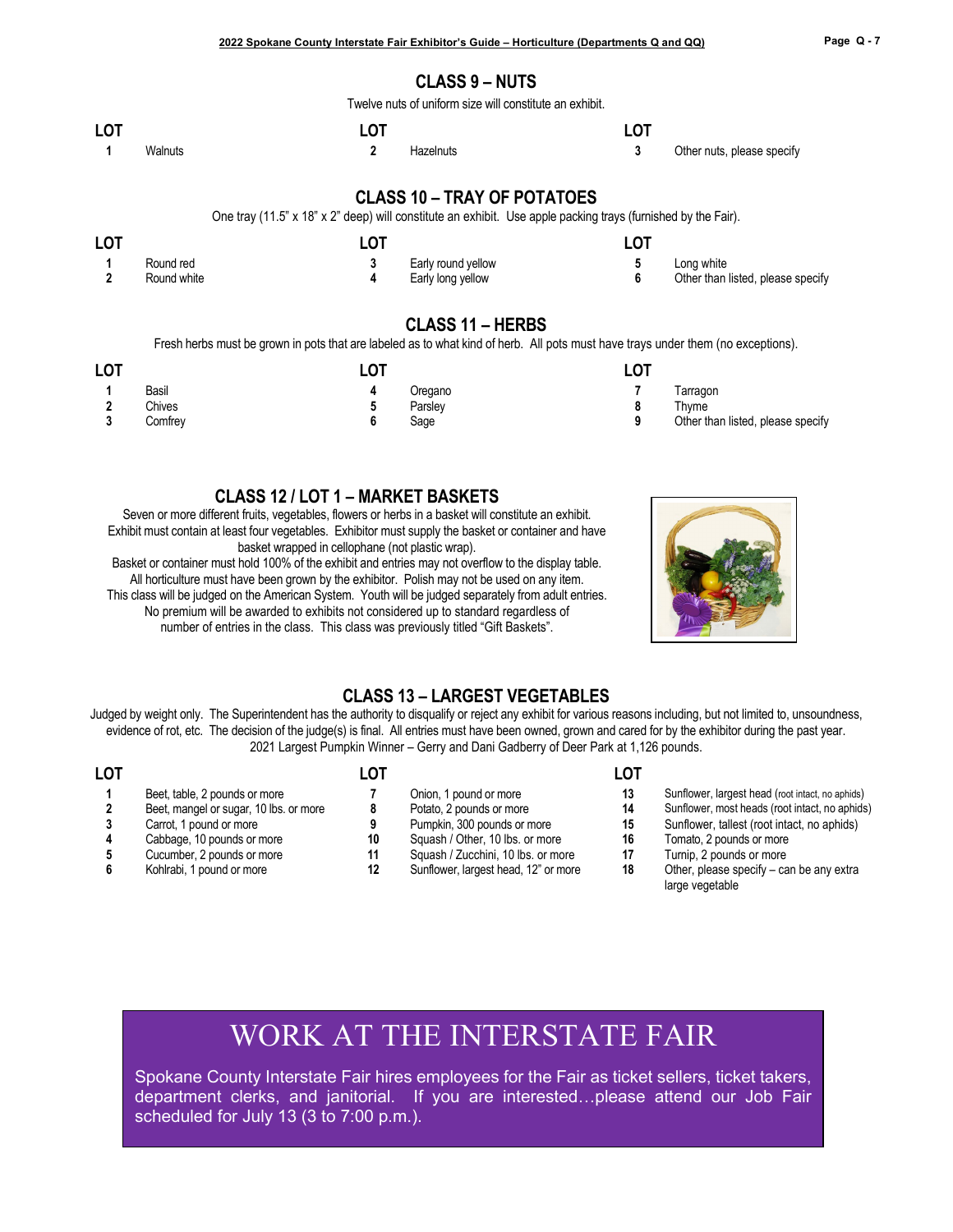#### **CLASS 9 – NUTS**

Twelve nuts of uniform size will constitute an exhibit.

| <b>LOT</b> |         |           |                            |
|------------|---------|-----------|----------------------------|
|            | Walnuts | Hazelnuts | Other nuts, please specify |

#### **CLASS 10 – TRAY OF POTATOES**

One tray (11.5" x 18" x 2" deep) will constitute an exhibit. Use apple packing trays (furnished by the Fair).

| <b>LOT</b> |             | ∟OT |                    |                                   |
|------------|-------------|-----|--------------------|-----------------------------------|
|            | Round red   |     | Early round yellow | Long white                        |
|            | Round white |     | Early long yellow  | Other than listed, please specify |

#### **CLASS 11 – HERBS**

Fresh herbs must be grown in pots that are labeled as to what kind of herb. All pots must have trays under them (no exceptions).

| <b>LOT</b>                |         | LOT |         | LOT |                                   |
|---------------------------|---------|-----|---------|-----|-----------------------------------|
|                           | Basil   |     | Oregano |     | Tarragon                          |
|                           | Chives  |     | Parslev |     | Thvme                             |
| $\ddot{\phantom{0}}$<br>ν | Comfrey |     | Sage    |     | Other than listed, please specify |

#### **CLASS 12 / LOT 1 – MARKET BASKETS**

Seven or more different fruits, vegetables, flowers or herbs in a basket will constitute an exhibit. Exhibit must contain at least four vegetables. Exhibitor must supply the basket or container and have basket wrapped in cellophane (not plastic wrap).

Basket or container must hold 100% of the exhibit and entries may not overflow to the display table. All horticulture must have been grown by the exhibitor. Polish may not be used on any item. This class will be judged on the American System. Youth will be judged separately from adult entries. No premium will be awarded to exhibits not considered up to standard regardless of number of entries in the class. This class was previously titled "Gift Baskets".



large vegetable

#### **CLASS 13 – LARGEST VEGETABLES**

Judged by weight only. The Superintendent has the authority to disqualify or reject any exhibit for various reasons including, but not limited to, unsoundness, evidence of rot, etc. The decision of the judge(s) is final. All entries must have been owned, grown and cared for by the exhibitor during the past year. 2021 Largest Pumpkin Winner – Gerry and Dani Gadberry of Deer Park at 1,126 pounds.

| LOT |                                        | _OT |                                      |    |                                                  |
|-----|----------------------------------------|-----|--------------------------------------|----|--------------------------------------------------|
|     | Beet, table, 2 pounds or more          |     | Onion, 1 pound or more               |    | Sunflower, largest head (root intact, no aphids) |
|     | Beet, mangel or sugar, 10 lbs. or more | 8   | Potato, 2 pounds or more             | 14 | Sunflower, most heads (root intact, no aphids)   |
|     | Carrot, 1 pound or more                |     | Pumpkin, 300 pounds or more          | 15 | Sunflower, tallest (root intact, no aphids)      |
|     | Cabbage, 10 pounds or more             | 10  | Squash / Other, 10 lbs. or more      | 16 | Tomato, 2 pounds or more                         |
|     | Cucumber, 2 pounds or more             | 11  | Squash / Zucchini, 10 lbs. or more   |    | Turnip, 2 pounds or more                         |
|     | Kohlrabi, 1 pound or more              |     | Sunflower, largest head, 12" or more | 18 | Other, please specify – can be any extra         |

# WORK AT THE INTERSTATE FAIR

Spokane County Interstate Fair hires employees for the Fair as ticket sellers, ticket takers, department clerks, and janitorial. If you are interested…please attend our Job Fair scheduled for July 13 (3 to 7:00 p.m.).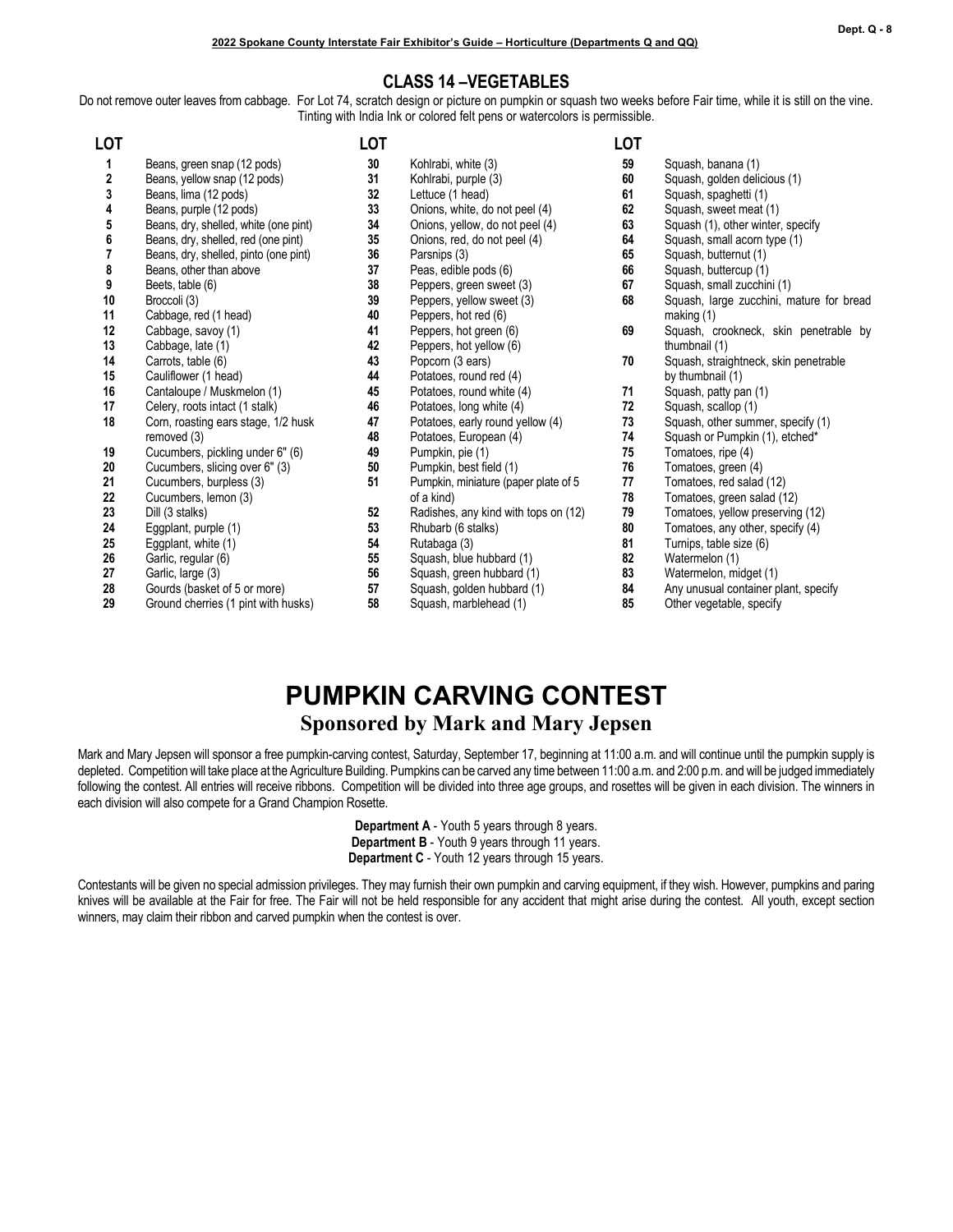#### **CLASS 14 –VEGETABLES**

Do not remove outer leaves from cabbage. For Lot 74, scratch design or picture on pumpkin or squash two weeks before Fair time, while it is still on the vine. Tinting with India Ink or colored felt pens or watercolors is permissible.

| LOT |                                       | <b>LOT</b> |                                      | <b>LOT</b> |                                       |
|-----|---------------------------------------|------------|--------------------------------------|------------|---------------------------------------|
| 1   | Beans, green snap (12 pods)           | 30         | Kohlrabi, white (3)                  | 59         | Squash, banana (1)                    |
| 2   | Beans, yellow snap (12 pods)          | 31         | Kohlrabi, purple (3)                 | 60         | Squash, golden delicious (1)          |
| 3   | Beans, lima (12 pods)                 | 32         | Lettuce (1 head)                     | 61         | Squash, spaghetti (1)                 |
| 4   | Beans, purple (12 pods)               | 33         | Onions, white, do not peel (4)       | 62         | Squash, sweet meat (1)                |
| 5   | Beans, dry, shelled, white (one pint) | 34         | Onions, yellow, do not peel (4)      | 63         | Squash (1), other winter, specify     |
| 6   | Beans, dry, shelled, red (one pint)   | 35         | Onions, red, do not peel (4)         | 64         | Squash, small acorn type (1)          |
|     | Beans, dry, shelled, pinto (one pint) | 36         | Parsnips (3)                         | 65         | Squash, butternut (1)                 |
| 8   | Beans, other than above               | 37         | Peas, edible pods (6)                | 66         | Squash, buttercup (1)                 |
| 9   | Beets, table (6)                      | 38         | Peppers, green sweet (3)             | 67         | Squash, small zucchini (1)            |
| 10  | Broccoli (3)                          | 39         | Peppers, yellow sweet (3)            | 68         | Squash, large zucchini, mature for b  |
| 11  | Cabbage, red (1 head)                 | 40         | Peppers, hot red (6)                 |            | making $(1)$                          |
| 12  | Cabbage, savoy (1)                    | 41         | Peppers, hot green (6)               | 69         | Squash, crookneck, skin penetrable    |
| 13  | Cabbage, late (1)                     | 42         | Peppers, hot yellow (6)              |            | thumbnail (1)                         |
| 14  | Carrots, table (6)                    | 43         | Popcorn (3 ears)                     | 70         | Squash, straightneck, skin penetrable |
| 15  | Cauliflower (1 head)                  | 44         | Potatoes, round red (4)              |            | by thumbnail (1)                      |
| 16  | Cantaloupe / Muskmelon (1)            | 45         | Potatoes, round white (4)            | 71         | Squash, patty pan (1)                 |
| 17  | Celery, roots intact (1 stalk)        | 46         | Potatoes, long white (4)             | 72         | Squash, scallop (1)                   |
| 18  | Corn, roasting ears stage, 1/2 husk   | 47         | Potatoes, early round yellow (4)     | 73         | Squash, other summer, specify (1)     |
|     | removed (3)                           | 48         | Potatoes, European (4)               | 74         | Squash or Pumpkin (1), etched*        |
| 19  | Cucumbers, pickling under 6" (6)      | 49         | Pumpkin, pie (1)                     | 75         | Tomatoes, ripe (4)                    |
| 20  | Cucumbers, slicing over 6" (3)        | 50         | Pumpkin, best field (1)              | 76         | Tomatoes, green (4)                   |
| 21  | Cucumbers, burpless (3)               | 51         | Pumpkin, miniature (paper plate of 5 | 77         | Tomatoes, red salad (12)              |
| 22  | Cucumbers, lemon (3)                  |            | of a kind)                           | 78         | Tomatoes, green salad (12)            |
| 23  | Dill (3 stalks)                       | 52         | Radishes, any kind with tops on (12) | 79         | Tomatoes, yellow preserving (12)      |
| 24  | Eggplant, purple (1)                  | 53         | Rhubarb (6 stalks)                   | 80         | Tomatoes, any other, specify (4)      |
| 25  | Eggplant, white (1)                   | 54         | Rutabaga (3)                         | 81         | Turnips, table size (6)               |
| 26  | Garlic, regular (6)                   | 55         | Squash, blue hubbard (1)             | 82         | Watermelon (1)                        |
| 27  | Garlic, large (3)                     | 56         | Squash, green hubbard (1)            | 83         | Watermelon, midget (1)                |
| 28  | Gourds (basket of 5 or more)          | 57         | Squash, golden hubbard (1)           | 84         | Any unusual container plant, specify  |
| 29  | Ground cherries (1 pint with husks)   | 58         | Squash, marblehead (1)               | 85         | Other vegetable, specify              |

|    | LOT |                                                           |
|----|-----|-----------------------------------------------------------|
|    | 59  | Squash, banana (1)                                        |
|    | 60  | Squash, golden delicious (1)                              |
|    | 61  | Squash, spaghetti (1)                                     |
|    | 62  | Squash, sweet meat (1)                                    |
|    | 63  | Squash (1), other winter, specify                         |
|    | 64  | Squash, small acorn type (1)                              |
|    | 65  | Squash, butternut (1)                                     |
|    | 66  | Squash, buttercup (1)                                     |
|    | 67  | Squash, small zucchini (1)                                |
|    | 68  | Squash, large zucchini, mature for bread<br>making (1)    |
|    | 69  | Squash, crookneck, skin penetrable by<br>thumbnail (1)    |
|    | 70  | Squash, straightneck, skin penetrable<br>by thumbnail (1) |
|    | 71  | Squash, patty pan (1)                                     |
|    | 72  | Squash, scallop (1)                                       |
|    | 73  | Squash, other summer, specify (1)                         |
|    | 74  | Squash or Pumpkin (1), etched*                            |
|    | 75  | Tomatoes, ripe (4)                                        |
|    | 76  | Tomatoes, green (4)                                       |
|    | 77  | Tomatoes, red salad (12)                                  |
|    | 78  | Tomatoes, green salad (12)                                |
| 2) | 79  | Tomatoes, yellow preserving (12)                          |
|    | 80  | Tomatoes, any other, specify (4)                          |
|    | 81  | Turnips, table size (6)                                   |
|    | 82  | Watermelon (1)                                            |
|    | 83  | Watermelon, midget (1)                                    |
|    | 01  | $\Lambda$ putupuat approximar plant appoint               |

- 
- 

## **PUMPKIN CARVING CONTEST Sponsored by Mark and Mary Jepsen**

Mark and Mary Jepsen will sponsor a free pumpkin-carving contest, Saturday, September 17, beginning at 11:00 a.m. and will continue until the pumpkin supply is depleted. Competition will take place at the Agriculture Building. Pumpkins can be carved any time between 11:00 a.m. and 2:00 p.m. and will be judged immediately following the contest. All entries will receive ribbons. Competition will be divided into three age groups, and rosettes will be given in each division. The winners in each division will also compete for a Grand Champion Rosette.

> **Department A** - Youth 5 years through 8 years. **Department B** - Youth 9 years through 11 years. **Department C** - Youth 12 years through 15 years.

Contestants will be given no special admission privileges. They may furnish their own pumpkin and carving equipment, if they wish. However, pumpkins and paring knives will be available at the Fair for free. The Fair will not be held responsible for any accident that might arise during the contest. All youth, except section winners, may claim their ribbon and carved pumpkin when the contest is over.